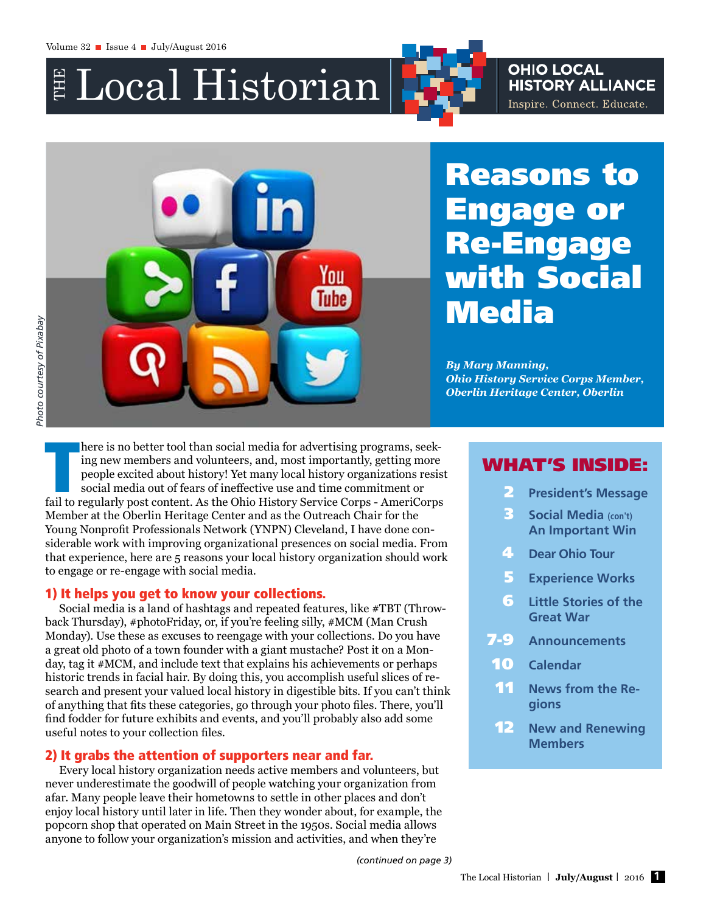$\mathbb{\Huge{\#} Local}$  Historian

# **OHIO LOCAL HISTORY ALLIANCE** Inspire. Connect. Educate.

You inhe

# Reasons to Engage Re-Engage with Social **Media**

*By Mary Manning, Ohio History Service Corps Member, Oberlin Heritage Center, Oberlin* 

# *Photo courtesy of Pixabay*Photo courtesy of Pixabay

here is no better tool than social media for advertising programs, seeking new members and volunteers, and, most importantly, getting more people excited about history! Yet many local history organizations resist social me here is no better tool than social media for advertising programs, seeking new members and volunteers, and, most importantly, getting more people excited about history! Yet many local history organizations resist social media out of fears of ineffective use and time commitment or Member at the Oberlin Heritage Center and as the Outreach Chair for the Young Nonprofit Professionals Network (YNPN) Cleveland, I have done considerable work with improving organizational presences on social media. From that experience, here are 5 reasons your local history organization should work to engage or re-engage with social media.

# 1) It helps you get to know your collections.

Social media is a land of hashtags and repeated features, like #TBT (Throwback Thursday), #photoFriday, or, if you're feeling silly, #MCM (Man Crush Monday). Use these as excuses to reengage with your collections. Do you have a great old photo of a town founder with a giant mustache? Post it on a Monday, tag it #MCM, and include text that explains his achievements or perhaps historic trends in facial hair. By doing this, you accomplish useful slices of research and present your valued local history in digestible bits. If you can't think of anything that fits these categories, go through your photo files. There, you'll find fodder for future exhibits and events, and you'll probably also add some useful notes to your collection files.

# 2) It grabs the attention of supporters near and far.

Every local history organization needs active members and volunteers, but never underestimate the goodwill of people watching your organization from afar. Many people leave their hometowns to settle in other places and don't enjoy local history until later in life. Then they wonder about, for example, the popcorn shop that operated on Main Street in the 1950s. Social media allows anyone to follow your organization's mission and activities, and when they're

# WHAT'S INSIDE:

- 2 **President's Message**
- 3 **Social Media (con't) An Important Win**
- 4 **Dear Ohio Tour**
- 5 **Experience Works**
- 6 **Little Stories of the Great War**
- 7-9 **Announcements**
- 10 **Calendar**
- **11** News from the Re**gions**
- 12 **New and Renewing Members**

*(continued on page 3)*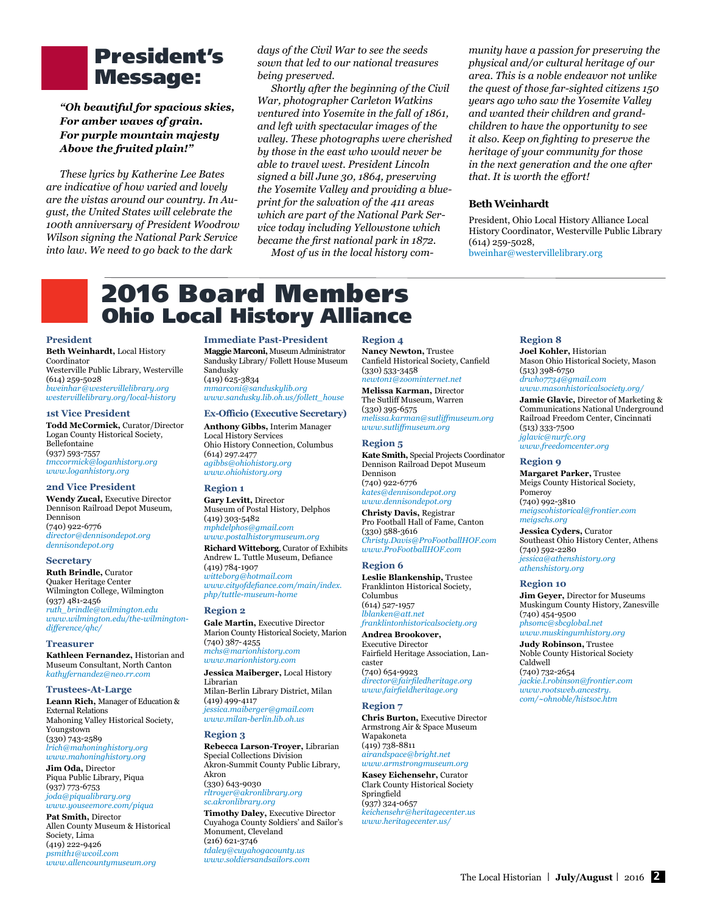# President's Message:

*"Oh beautiful for spacious skies, For amber waves of grain. For purple mountain majesty Above the fruited plain!"*

*These lyrics by Katherine Lee Bates are indicative of how varied and lovely are the vistas around our country. In August, the United States will celebrate the 100th anniversary of President Woodrow Wilson signing the National Park Service into law. We need to go back to the dark* 

*days of the Civil War to see the seeds sown that led to our national treasures being preserved.*

*Shortly after the beginning of the Civil War, photographer Carleton Watkins ventured into Yosemite in the fall of 1861, and left with spectacular images of the valley. These photographs were cherished by those in the east who would never be able to travel west. President Lincoln signed a bill June 30, 1864, preserving the Yosemite Valley and providing a blueprint for the salvation of the 411 areas which are part of the National Park Service today including Yellowstone which became the first national park in 1872.*

*Most of us in the local history com-*

### *munity have a passion for preserving the physical and/or cultural heritage of our area. This is a noble endeavor not unlike the quest of those far-sighted citizens 150 years ago who saw the Yosemite Valley and wanted their children and grandchildren to have the opportunity to see it also. Keep on fighting to preserve the heritage of your community for those in the next generation and the one after that. It is worth the effort!*

### **Beth Weinhardt**

President, Ohio Local History Alliance Local History Coordinator, Westerville Public Library (614) 259-5028, [bweinhar@westervillelibrary.org](mailto:bweinhar@westervillelibrary.org)

# 2016 Board Members Ohio Local History Alliance

### **President**

**Beth Weinhardt,** Local History Coordinator Westerville Public Library, Westerville (614) 259-5028 *[bweinhar@westervillelibrary.org](mailto:bweinhar@westervillelibrary.org) [westervillelibrary.org/local-history](http://westervillelibrary.org/local-history)*

### **1st Vice President**

**Todd McCormick,** Curator/Director Logan County Historical Society, Bellefontaine (937) 593-7557 *[tmccormick@loganhistory.org](mailto:tmccormick@loganhistory.org) [www.loganhistory.org](http://www.loganhistory.org)*

### **2nd Vice President**

**Wendy Zucal,** Executive Director Dennison Railroad Depot Museum, Dennison (740) 922-6776 *[director@dennisondepot.org](mailto:director@dennisondepot.org) [dennisondepot.org](http://dennisondepot.org)*

#### **Secretary**

**Ruth Brindle,** Curator Quaker Heritage Center Wilmington College, Wilmington (937) 481-2456 *[ruth\\_brindle@wilmington.edu](mailto:ruth_brindle@wilmington.edu) [www.wilmington.edu/the-wilmington](http://www.wilmington.edu/the-wilmington-difference/qhc/ )[difference/qhc/](http://www.wilmington.edu/the-wilmington-difference/qhc/ )*

### **Treasurer**

**Kathleen Fernandez,** Historian and Museum Consultant, North Canton *[kathyfernandez@neo.rr.com](mailto:kathyfernandez%40neo.rr.com?subject=)*

### **Trustees-At-Large**

**Leann Rich,** Manager of Education & External Relations Mahoning Valley Historical Society, Youngstown (330) 743-2589 *[lrich@mahoninghistory.org](mailto:lrich@mahoninghistory.org) [www.mahoninghistory.org](http://www.mahoninghistory.org)*

**Jim Oda,** Director Piqua Public Library, Piqua (937) 773-6753 *[joda@piqualibrary.org](mailto:joda@piqualibrary.org)*

### *[www.youseemore.com/piqua](http://www.youseemore.com/piqua)* **Pat Smith,** Director

Allen County Museum & Historical Society, Lima (419) 222-9426 *[psmith1@wcoil.com](mailto:psmith1@wcoil.com) [www.allencountymuseum.org](http://www.allencountymuseum.org)*

**Immediate Past-President Maggie Marconi,** Museum Administrator Sandusky Library/ Follett House Museum Sandusky (419) 625-3834 *[mmarconi@sanduskylib.org](mailto:mmarconi@sanduskylib.org)* 

### *[www.sandusky.lib.oh.us/follett\\_](http://www.sandusky.lib.oh.us/follett_house)house*

### **Ex-Officio (Executive Secretary)**

**Anthony Gibbs,** Interim Manager Local History Services Ohio History Connection, Columbus (614) 297.2477 *[agibbs@ohiohistory.org](mailto:agibbs@ohiohistory.org) [www.ohiohistory.org](http://www.ohiohistory.org)* 

### **Region 1**

**Gary Levitt,** Director Museum of Postal History, Delphos (419) 303-5482 *[mphdelphos@gmail.com](mailto:mphdelphos@gmail.com) [www.postalhistorymuseum.org](http://www.postalhistorymuseum.org)* **Richard Witteborg**, Curator of Exhibits Andrew L. Tuttle Museum, Defiance (419) 784-1907 *[witteborg@hotmail.com](mailto:witteborg%40hotmail.com?subject=) [www.cityofdefiance.com/main/index.](http://www.cityofdefiance.com/main/index.php/tuttle-museum-home ) [php/tuttle-museum-home](http://www.cityofdefiance.com/main/index.php/tuttle-museum-home )* 

### **Region 2**

**Gale Martin,** Executive Director Marion County Historical Society, Marion (740) 387- 4255 *[mchs@marionhistory.com](mailto:mchs@marionhistory.com) [www.marionhistory.com](http://www.marionhistory.com)*

**Jessica Maiberger,** Local History Librarian Milan-Berlin Library District, Milan (419) 499-4117 *[jessica.maiberger@gmail.com](mailto:jessica.maiberger@gmail.com) [www.milan-berlin.lib.oh.us](http://www.milan-berlin.lib.oh.us)* 

### **Region 3**

**Rebecca Larson-Troyer,** Librarian Special Collections Division Akron-Summit County Public Library, Akron (330) 643-9030

*[rltroyer@akronlibrary.org](mailto:rltroyer@akronlibrary.org) [sc.akronlibrary.org](http://sc.akronlibrary.org)*

**Timothy Daley,** Executive Director Cuyahoga County Soldiers' and Sailor's Monument, Cleveland (216) 621-3746 *[tdaley@cuyahogacounty.us](mailto:tdaley@cuyahogacounty.us) [www.soldiersandsailors.com](http://www.soldiersandsailors.com)*

#### **Region 4**

**Nancy Newton,** Trustee Canfield Historical Society, Canfield (330) 533-3458 *[newton1@zoominternet.net](mailto:newton1@zoominternet.net)*

**Melissa Karman,** Director The Sutliff Museum, Warren (330) 395-6575

*[melissa.karman@sutliffmuseum.org](mailto:melissa.karman@sutliffmuseum.org)  [www.sutliffmuseum.org](http://www.sutliffmuseum.org/)*

### **Region 5**

**Kate Smith,** Special Projects Coordinator Dennison Railroad Depot Museum Dennison (740) 922-6776 *[kates@dennisondepot.org](mailto:kates@dennisondepot.org)*

*[www.dennisondepot.org](http://www.dennisondepot.org)*

**Christy Davis,** Registrar Pro Football Hall of Fame, Canton (330) 588-3616 *[Christy.Davis@ProFootballHOF.com](mailto:Christy.Davis@ProFootballHOF.com)  [www.ProFootballHOF.com](http://www.profootballhof.com/)*

### **Region 6**

**Leslie Blankenship,** Trustee Franklinton Historical Society, Columbus (614) 527-1957

*[lblanken@att.net](mailto:lblanken@att.net) [franklintonhistoricalsociety.org](http://franklintonhistoricalsociety.org)* **Andrea Brookover,** 

Executive Director Fairfield Heritage Association, Lancaster

(740) 654-9923 *[director@fairfiledheritage.org](mailto:director@fairfiledheritage.org) [www.fairfieldheritage.org](http://www.fairfieldheritage.org)*

#### **Region 7**

**Chris Burton,** Executive Director Armstrong Air & Space Museum Wapakoneta (419) 738-8811 *[airandspace@bright.net](mailto:airandspace@bright.net)  [www.armstrongmuseum.org](http://www.armstrongmuseum.org)*

**Kasey Eichensehr,** Curator Clark County Historical Society Springfield (937) 324-0657 *[keichensehr@heritagecenter.us](mailto:keichensehr@heritagecenter.us) [www.heritagecenter.us/](http://www.heritagecenter.us)*

### **Region 8**

**Joel Kohler,** Historian Mason Ohio Historical Society, Mason (513) 398-6750 *[drwho7734@gmail.com](mailto:drwho7734@gmail.com) [www.masonhistoricalsociety.org](http://www.masonhistoricalsociety.org)/* **Jamie Glavic,** Director of Marketing &

Communications National Underground Railroad Freedom Center, Cincinnati (513) 333-7500 *[jglavic@nurfc.org](mailto:jglavic@nurfc.org) [www.freedomcenter.org](http://www.freedomcenter.org)*

### **Region 9**

**Margaret Parker,** Trustee Meigs County Historical Society, Pomeroy (740) 992-3810 *[meigscohistorical@frontier.com](mailto:meigscohistorical@frontier.com) [meigschs.org](http://www.meigschs.org)*

**Jessica Cyders,** Curator Southeast Ohio History Center, Athens (740) 592-2280 *[jessica@athenshistory.org](mailto:jessica@athenshistory.org) [athenshistory.org](http://athenshistory.org)*

#### **Region 10**

**Jim Geyer,** Director for Museums Muskingum County History, Zanesville (740) 454-9500 *[phsomc@sbcglobal.net](mailto:phsomc@sbcglobal.net)*

*[www.muskingumhistory.org](http://www.muskingumhistory.org)* **Judy Robinson,** Trustee

Noble County Historical Society Caldwell (740) 732-2654 *[jackie.l.robinson@frontier.com](mailto:jackie.l.robinson@frontier.com)*

*[www.rootsweb.ancestry.](http://www.rootsweb.ancestry.com/~ohnoble/histsoc.htm) [com/~ohnoble/histsoc.htm](http://www.rootsweb.ancestry.com/~ohnoble/histsoc.htm)*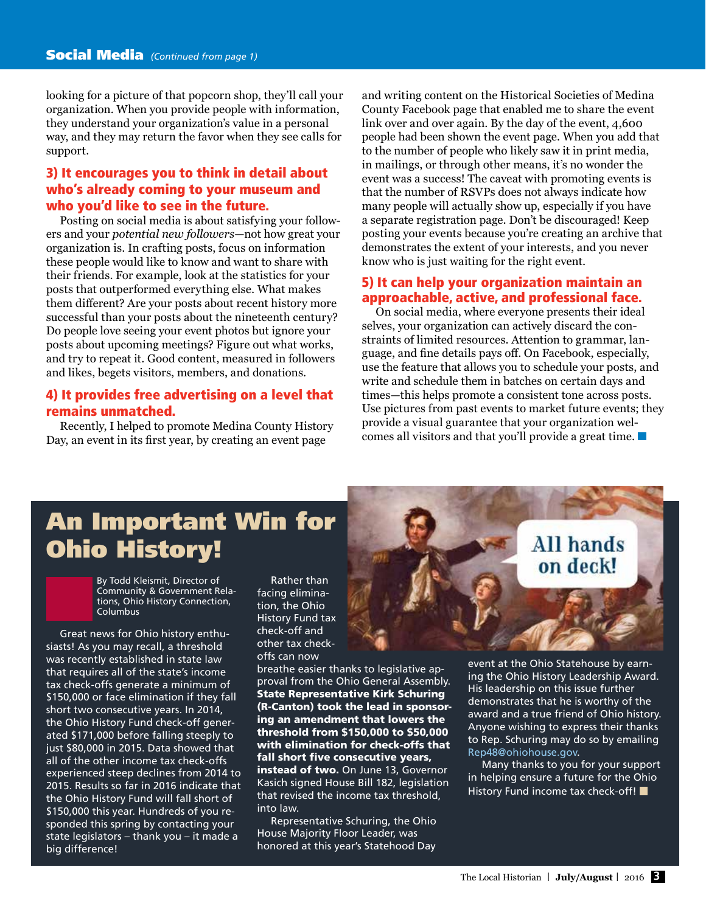looking for a picture of that popcorn shop, they'll call your organization. When you provide people with information, they understand your organization's value in a personal way, and they may return the favor when they see calls for support.

# 3) It encourages you to think in detail about who's already coming to your museum and who you'd like to see in the future.

Posting on social media is about satisfying your followers and your *potential new followers*—not how great your organization is. In crafting posts, focus on information these people would like to know and want to share with their friends. For example, look at the statistics for your posts that outperformed everything else. What makes them different? Are your posts about recent history more successful than your posts about the nineteenth century? Do people love seeing your event photos but ignore your posts about upcoming meetings? Figure out what works, and try to repeat it. Good content, measured in followers and likes, begets visitors, members, and donations.

# 4) It provides free advertising on a level that remains unmatched.

Recently, I helped to promote Medina County History Day, an event in its first year, by creating an event page

and writing content on the Historical Societies of Medina County Facebook page that enabled me to share the event link over and over again. By the day of the event, 4,600 people had been shown the event page. When you add that to the number of people who likely saw it in print media, in mailings, or through other means, it's no wonder the event was a success! The caveat with promoting events is that the number of RSVPs does not always indicate how many people will actually show up, especially if you have a separate registration page. Don't be discouraged! Keep posting your events because you're creating an archive that demonstrates the extent of your interests, and you never know who is just waiting for the right event.

# 5) It can help your organization maintain an approachable, active, and professional face.

On social media, where everyone presents their ideal selves, your organization can actively discard the constraints of limited resources. Attention to grammar, language, and fine details pays off. On Facebook, especially, use the feature that allows you to schedule your posts, and write and schedule them in batches on certain days and times—this helps promote a consistent tone across posts. Use pictures from past events to market future events; they provide a visual guarantee that your organization welcomes all visitors and that you'll provide a great time.

# An Important Win for Ohio History!

By Todd Kleismit, Director of Community & Government Relations, Ohio History Connection, Columbus

Great news for Ohio history enthusiasts! As you may recall, a threshold was recently established in state law that requires all of the state's income tax check-offs generate a minimum of \$150,000 or face elimination if they fall short two consecutive years. In 2014, the Ohio History Fund check-off generated \$171,000 before falling steeply to just \$80,000 in 2015. Data showed that all of the other income tax check-offs experienced steep declines from 2014 to 2015. Results so far in 2016 indicate that the Ohio History Fund will fall short of \$150,000 this year. Hundreds of you responded this spring by contacting your state legislators – thank you – it made a big difference!

Rather than facing elimination, the Ohio History Fund tax check-off and other tax checkoffs can now

breathe easier thanks to legislative approval from the Ohio General Assembly. State Representative Kirk Schuring (R-Canton) took the lead in sponsoring an amendment that lowers the threshold from \$150,000 to \$50,000 with elimination for check-offs that fall short five consecutive years, instead of two. On June 13, Governor Kasich signed House Bill 182, legislation that revised the income tax threshold, into law.

Representative Schuring, the Ohio House Majority Floor Leader, was honored at this year's Statehood Day

# All hands on deck!

event at the Ohio Statehouse by earning the Ohio History Leadership Award. His leadership on this issue further demonstrates that he is worthy of the award and a true friend of Ohio history. Anyone wishing to express their thanks to Rep. Schuring may do so by emailing [Rep48@ohiohouse.gov.](mailto:Rep48@ohiohouse.gov)

Many thanks to you for your support in helping ensure a future for the Ohio History Fund income tax check-off!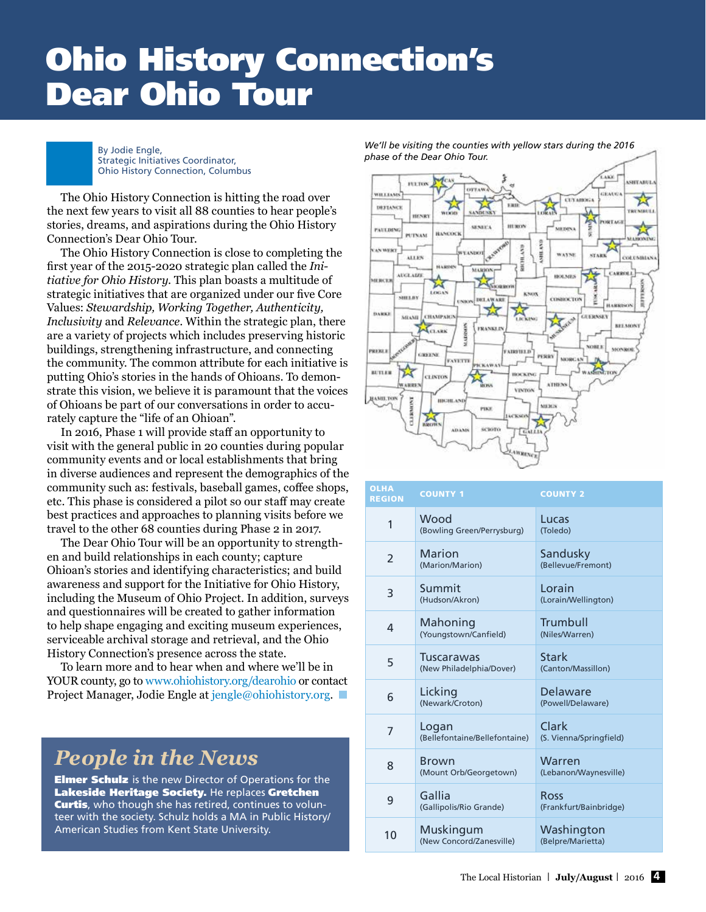# Ohio History Connection's Dear Ohio Tour



By Jodie Engle, Strategic Initiatives Coordinator, Ohio History Connection, Columbus

The Ohio History Connection is hitting the road over the next few years to visit all 88 counties to hear people's stories, dreams, and aspirations during the Ohio History Connection's Dear Ohio Tour.

The Ohio History Connection is close to completing the first year of the 2015-2020 strategic plan called the *Initiative for Ohio History*. This plan boasts a multitude of strategic initiatives that are organized under our five Core Values: *Stewardship, Working Together, Authenticity, Inclusivity* and *Relevance*. Within the strategic plan, there are a variety of projects which includes preserving historic buildings, strengthening infrastructure, and connecting the community. The common attribute for each initiative is putting Ohio's stories in the hands of Ohioans. To demonstrate this vision, we believe it is paramount that the voices of Ohioans be part of our conversations in order to accurately capture the "life of an Ohioan".

In 2016, Phase 1 will provide staff an opportunity to visit with the general public in 20 counties during popular community events and or local establishments that bring in diverse audiences and represent the demographics of the community such as: festivals, baseball games, coffee shops, etc. This phase is considered a pilot so our staff may create best practices and approaches to planning visits before we travel to the other 68 counties during Phase 2 in 2017.

The Dear Ohio Tour will be an opportunity to strengthen and build relationships in each county; capture Ohioan's stories and identifying characteristics; and build awareness and support for the Initiative for Ohio History, including the Museum of Ohio Project. In addition, surveys and questionnaires will be created to gather information to help shape engaging and exciting museum experiences, serviceable archival storage and retrieval, and the Ohio History Connection's presence across the state.

To learn more and to hear when and where we'll be in YOUR county, go to [www.ohiohistory.org/dearohio](http://www.ohiohistory.org/dearohio) or contact Project Manager, Jodie Engle at [jengle@ohiohistory.org](mailto:jengle%40ohiohistory.org?subject=).

# *People in the News*

**Elmer Schulz** is the new Director of Operations for the Lakeside Heritage Society. He replaces Gretchen **Curtis**, who though she has retired, continues to volunteer with the society. Schulz holds a MA in Public History/ American Studies from Kent State University.

AKE J **ETABU HELTON** CEALS ☆ **CEYAHOGA** DEFLANCE **Kind REMARKED HENR HURCH** sessiva PATERS **MEDP BANCOCK** PUTNAM ŝ AST AN WERT š **WAYNE STAR** ALLEN **VALUABLES** ĕ MARION **AUGLADE GERCE REPORTER** W LOGAN KNOS sma **DELAWARE CONHOCTON** Ě **BLARKENON** DARKI CHAMPAIG **JUERNSEY** MEANIE BELMON PRANKLI AGARE Stap **PRICKL ABRELLO GREENE** PERRY **CAVETTE** WASHINGTON **BETLER** носких CLINTON ARRE ATHEN VENTON ВАМШ.ТОР ставител низных **MARGETS** PIKE sciono ABANE

| <b>OLHA</b><br><b>REGION</b> | <b>COUNTY 1</b>                        | <b>COUNTY 2</b>                       |
|------------------------------|----------------------------------------|---------------------------------------|
| 1                            | Wood<br>(Bowling Green/Perrysburg)     | Lucas<br>(Toledo)                     |
| $\overline{2}$               | <b>Marion</b><br>(Marion/Marion)       | Sandusky<br>(Bellevue/Fremont)        |
| 3                            | Summit<br>(Hudson/Akron)               | Lorain<br>(Lorain/Wellington)         |
| 4                            | Mahoning<br>(Youngstown/Canfield)      | Trumbull<br>(Niles/Warren)            |
| 5                            | Tuscarawas<br>(New Philadelphia/Dover) | <b>Stark</b><br>(Canton/Massillon)    |
| 6                            | Licking<br>(Newark/Croton)             | Delaware<br>(Powell/Delaware)         |
| 7                            | Logan<br>(Bellefontaine/Bellefontaine) | Clark<br>(S. Vienna/Springfield)      |
| 8                            | <b>Brown</b><br>(Mount Orb/Georgetown) | Warren<br>(Lebanon/Waynesville)       |
| 9                            | Gallia<br>(Gallipolis/Rio Grande)      | <b>Ross</b><br>(Frankfurt/Bainbridge) |
| 10                           | Muskingum<br>(New Concord/Zanesville)  | Washington<br>(Belpre/Marietta)       |

*We'll be visiting the counties with yellow stars during the 2016 phase of the Dear Ohio Tour.*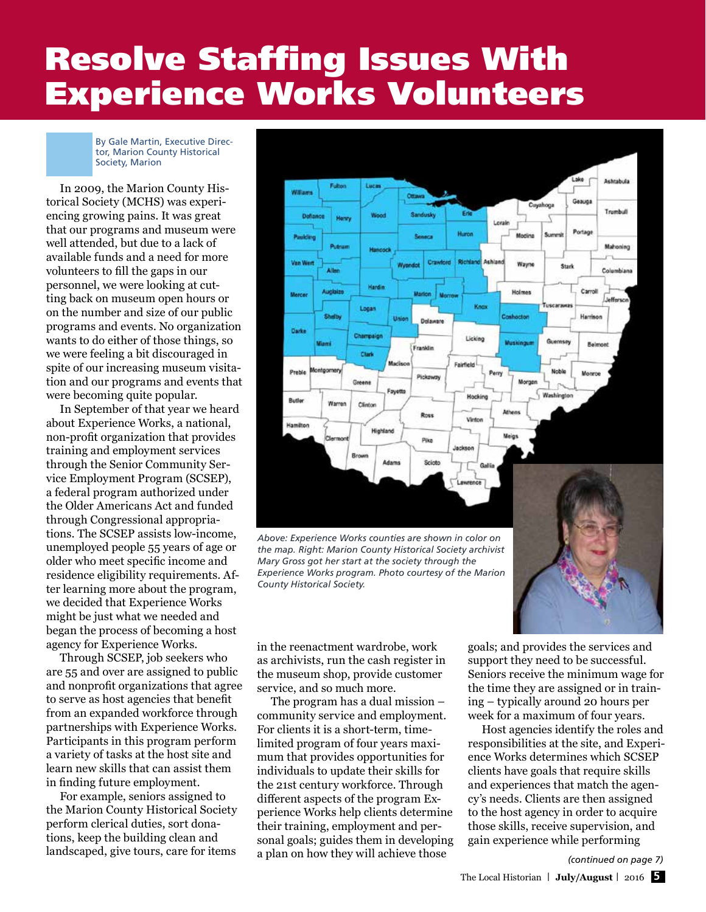# Resolve Staffing Issues With Experience Works Volunteers

By Gale Martin, Executive Director, Marion County Historical Society, Marion

In 2009, the Marion County Historical Society (MCHS) was experiencing growing pains. It was great that our programs and museum were well attended, but due to a lack of available funds and a need for more volunteers to fill the gaps in our personnel, we were looking at cutting back on museum open hours or on the number and size of our public programs and events. No organization wants to do either of those things, so we were feeling a bit discouraged in spite of our increasing museum visitation and our programs and events that were becoming quite popular.

In September of that year we heard about Experience Works, a national, non-profit organization that provides training and employment services through the Senior Community Service Employment Program (SCSEP), a federal program authorized under the Older Americans Act and funded through Congressional appropriations. The SCSEP assists low-income, unemployed people 55 years of age or older who meet specific income and residence eligibility requirements. After learning more about the program, we decided that Experience Works might be just what we needed and began the process of becoming a host agency for Experience Works.

Through SCSEP, job seekers who are 55 and over are assigned to public and nonprofit organizations that agree to serve as host agencies that benefit from an expanded workforce through partnerships with Experience Works. Participants in this program perform a variety of tasks at the host site and learn new skills that can assist them in finding future employment.

For example, seniors assigned to the Marion County Historical Society perform clerical duties, sort donations, keep the building clean and landscaped, give tours, care for items



*the map. Right: Marion County Historical Society archivist Mary Gross got her start at the society through the Experience Works program. Photo courtesy of the Marion County Historical Society.*

in the reenactment wardrobe, work as archivists, run the cash register in the museum shop, provide customer service, and so much more.

The program has a dual mission – community service and employment. For clients it is a short-term, timelimited program of four years maximum that provides opportunities for individuals to update their skills for the 21st century workforce. Through different aspects of the program Experience Works help clients determine their training, employment and personal goals; guides them in developing a plan on how they will achieve those

goals; and provides the services and support they need to be successful. Seniors receive the minimum wage for the time they are assigned or in training – typically around 20 hours per week for a maximum of four years.

Host agencies identify the roles and responsibilities at the site, and Experience Works determines which SCSEP clients have goals that require skills and experiences that match the agency's needs. Clients are then assigned to the host agency in order to acquire those skills, receive supervision, and gain experience while performing

*(continued on page 7)*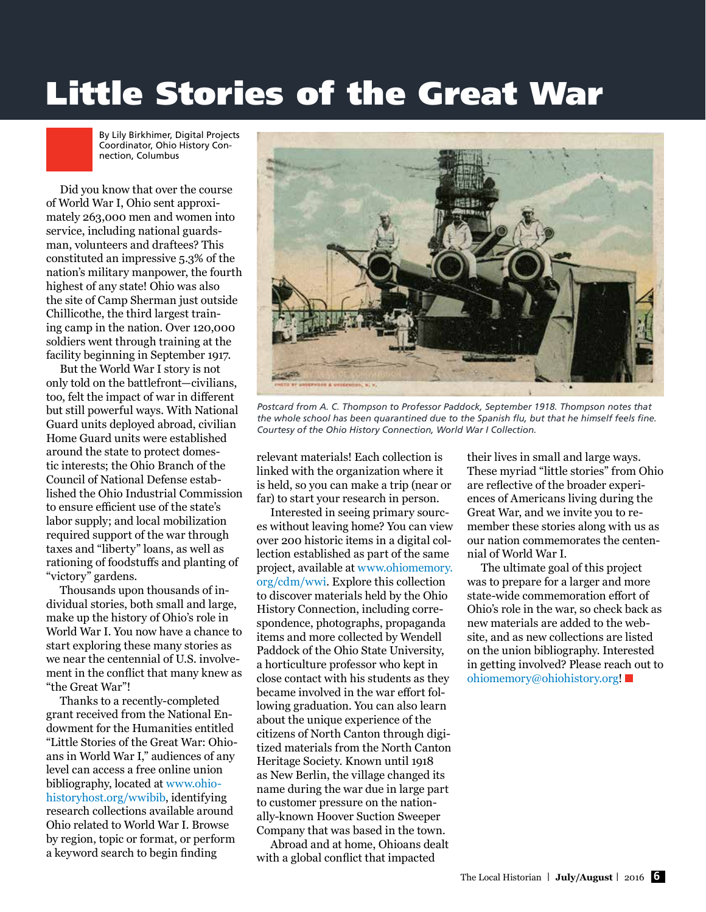# Little Stories of the Great War

By Lily Birkhimer, Digital Projects Coordinator, Ohio History Connection, Columbus

Did you know that over the course of World War I, Ohio sent approximately 263,000 men and women into service, including national guardsman, volunteers and draftees? This constituted an impressive 5.3% of the nation's military manpower, the fourth highest of any state! Ohio was also the site of Camp Sherman just outside Chillicothe, the third largest training camp in the nation. Over 120,000 soldiers went through training at the facility beginning in September 1917.

But the World War I story is not only told on the battlefront—civilians, too, felt the impact of war in different but still powerful ways. With National Guard units deployed abroad, civilian Home Guard units were established around the state to protect domestic interests; the Ohio Branch of the Council of National Defense established the Ohio Industrial Commission to ensure efficient use of the state's labor supply; and local mobilization required support of the war through taxes and "liberty" loans, as well as rationing of foodstuffs and planting of "victory" gardens.

Thousands upon thousands of individual stories, both small and large, make up the history of Ohio's role in World War I. You now have a chance to start exploring these many stories as we near the centennial of U.S. involvement in the conflict that many knew as "the Great War"!

Thanks to a recently-completed grant received from the National Endowment for the Humanities entitled "Little Stories of the Great War: Ohioans in World War I," audiences of any level can access a free online union bibliography, located at [www.ohio](http://www.ohiohistoryhost.org/wwibib)[historyhost.org/wwibib,](http://www.ohiohistoryhost.org/wwibib) identifying research collections available around Ohio related to World War I. Browse by region, topic or format, or perform a keyword search to begin finding



*Postcard from A. C. Thompson to Professor Paddock, September 1918. Thompson notes that the whole school has been quarantined due to the Spanish flu, but that he himself feels fine. Courtesy of the Ohio History Connection, World War I Collection.*

relevant materials! Each collection is linked with the organization where it is held, so you can make a trip (near or far) to start your research in person.

Interested in seeing primary sources without leaving home? You can view over 200 historic items in a digital collection established as part of the same project, available at [www.ohiomemory.](http://www.ohiomemory.org/cdm/wwi) [org/cdm/wwi](http://www.ohiomemory.org/cdm/wwi). Explore this collection to discover materials held by the Ohio History Connection, including correspondence, photographs, propaganda items and more collected by Wendell Paddock of the Ohio State University, a horticulture professor who kept in close contact with his students as they became involved in the war effort following graduation. You can also learn about the unique experience of the citizens of North Canton through digitized materials from the North Canton Heritage Society. Known until 1918 as New Berlin, the village changed its name during the war due in large part to customer pressure on the nationally-known Hoover Suction Sweeper Company that was based in the town.

Abroad and at home, Ohioans dealt with a global conflict that impacted

their lives in small and large ways. These myriad "little stories" from Ohio are reflective of the broader experiences of Americans living during the Great War, and we invite you to remember these stories along with us as our nation commemorates the centennial of World War I.

The ultimate goal of this project was to prepare for a larger and more state-wide commemoration effort of Ohio's role in the war, so check back as new materials are added to the website, and as new collections are listed on the union bibliography. Interested in getting involved? Please reach out to [ohiomemory@ohiohistory.org](mailto:ohiomemory%40ohiohistory.org?subject=)!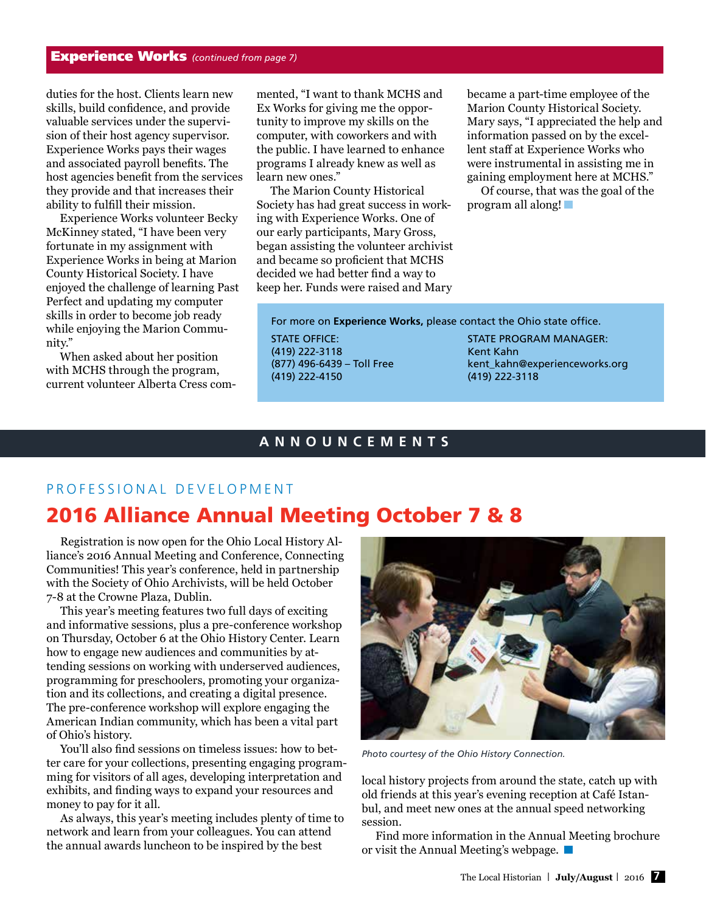# Experience Works *(continued from page 7)*

duties for the host. Clients learn new skills, build confidence, and provide valuable services under the supervision of their host agency supervisor. Experience Works pays their wages and associated payroll benefits. The host agencies benefit from the services they provide and that increases their ability to fulfill their mission.

Experience Works volunteer Becky McKinney stated, "I have been very fortunate in my assignment with Experience Works in being at Marion County Historical Society. I have enjoyed the challenge of learning Past Perfect and updating my computer skills in order to become job ready while enjoying the Marion Community."

When asked about her position with MCHS through the program, current volunteer Alberta Cress commented, "I want to thank MCHS and Ex Works for giving me the opportunity to improve my skills on the computer, with coworkers and with the public. I have learned to enhance programs I already knew as well as learn new ones."

The Marion County Historical Society has had great success in working with Experience Works. One of our early participants, Mary Gross, began assisting the volunteer archivist and became so proficient that MCHS decided we had better find a way to keep her. Funds were raised and Mary

became a part-time employee of the Marion County Historical Society. Mary says, "I appreciated the help and information passed on by the excellent staff at Experience Works who were instrumental in assisting me in gaining employment here at MCHS."

Of course, that was the goal of the program all along!

For more on **Experience Works,** please contact the Ohio state office.

STATE OFFICE: (419) 222-3118 (877) 496-6439 – Toll Free (419) 222-4150

STATE PROGRAM MANAGER: Kent Kahn [kent\\_kahn@experienceworks.org](mailto:kent_kahn%40experienceworks.org?subject=)  (419) 222-3118

# **ANNOUNCEMENTS**

# PROFESSIONAL DEVELOPMENT

# 2016 Alliance Annual Meeting October 7 & 8

Registration is now open for the Ohio Local History Alliance's 2016 Annual Meeting and Conference, Connecting Communities! This year's conference, held in partnership with the Society of Ohio Archivists, will be held October 7-8 at the Crowne Plaza, Dublin.

This year's meeting features two full days of exciting and informative sessions, plus a pre-conference workshop on Thursday, October 6 at the Ohio History Center. Learn how to engage new audiences and communities by attending sessions on working with underserved audiences, programming for preschoolers, promoting your organization and its collections, and creating a digital presence. The pre-conference workshop will explore engaging the American Indian community, which has been a vital part of Ohio's history.

You'll also find sessions on timeless issues: how to better care for your collections, presenting engaging programming for visitors of all ages, developing interpretation and exhibits, and finding ways to expand your resources and money to pay for it all.

As always, this year's meeting includes plenty of time to network and learn from your colleagues. You can attend the annual awards luncheon to be inspired by the best



*Photo courtesy of the Ohio History Connection.* 

local history projects from around the state, catch up with old friends at this year's evening reception at Café Istanbul, and meet new ones at the annual speed networking session.

Find more information in the Annual Meeting brochure or visit the Annual Meeting's webpage.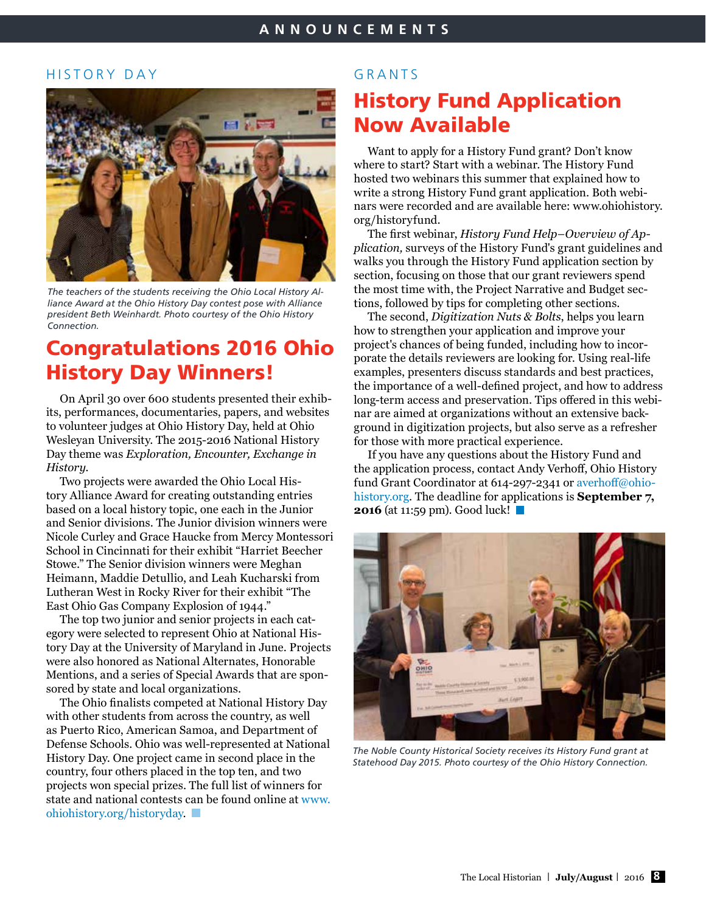# HISTORY DAY



*The teachers of the students receiving the Ohio Local History Alliance Award at the Ohio History Day contest pose with Alliance president Beth Weinhardt. Photo courtesy of the Ohio History Connection.* 

# Congratulations 2016 Ohio History Day Winners!

On April 30 over 600 students presented their exhibits, performances, documentaries, papers, and websites to volunteer judges at Ohio History Day, held at Ohio Wesleyan University. The 2015-2016 National History Day theme was *Exploration, Encounter, Exchange in History.*

Two projects were awarded the Ohio Local History Alliance Award for creating outstanding entries based on a local history topic, one each in the Junior and Senior divisions. The Junior division winners were Nicole Curley and Grace Haucke from Mercy Montessori School in Cincinnati for their exhibit "Harriet Beecher Stowe." The Senior division winners were Meghan Heimann, Maddie Detullio, and Leah Kucharski from Lutheran West in Rocky River for their exhibit "The East Ohio Gas Company Explosion of 1944."

The top two junior and senior projects in each category were selected to represent Ohio at National History Day at the University of Maryland in June. Projects were also honored as National Alternates, Honorable Mentions, and a series of Special Awards that are sponsored by state and local organizations.

The Ohio finalists competed at National History Day with other students from across the country, as well as Puerto Rico, American Samoa, and Department of Defense Schools. Ohio was well-represented at National History Day. One project came in second place in the country, four others placed in the top ten, and two projects won special prizes. The full list of winners for state and national contests can be found online at [www.](http://www.ohiohistory.org/historyday) [ohiohistory.org/historyday.](http://www.ohiohistory.org/historyday)

# GRANTS

# History Fund Application Now Available

Want to apply for a History Fund grant? Don't know where to start? Start with a webinar. The History Fund hosted two webinars this summer that explained how to write a strong History Fund grant application. Both webinars were recorded and are available here: [www.ohiohistory.](http://www.ohiohistory.org/historyfund) [org/historyfund](http://www.ohiohistory.org/historyfund).

The first webinar, *History Fund Help–Overview of Application,* surveys of the History Fund's grant guidelines and walks you through the History Fund application section by section, focusing on those that our grant reviewers spend the most time with, the Project Narrative and Budget sections, followed by tips for completing other sections.

The second, *Digitization Nuts & Bolts*, helps you learn how to strengthen your application and improve your project's chances of being funded, including how to incorporate the details reviewers are looking for. Using real-life examples, presenters discuss standards and best practices, the importance of a well-defined project, and how to address long-term access and preservation. Tips offered in this webinar are aimed at organizations without an extensive background in digitization projects, but also serve as a refresher for those with more practical experience.

If you have any questions about the History Fund and the application process, contact Andy Verhoff, Ohio History fund Grant Coordinator at 614-297-2341 or [averhoff@ohio](mailto:averhoff%40ohiohistory.org?subject=)[history.org.](mailto:averhoff%40ohiohistory.org?subject=) The deadline for applications is **September 7, 2016** (at 11:59 pm). Good luck!



*The Noble County Historical Society receives its History Fund grant at Statehood Day 2015. Photo courtesy of the Ohio History Connection.*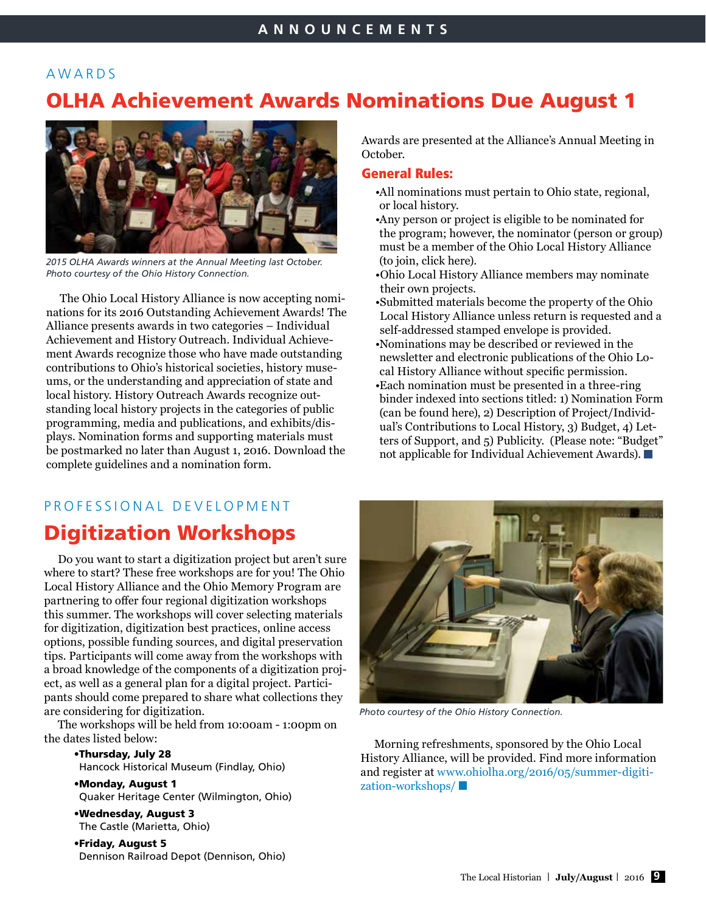# AWARDS

# OLHA Achievement Awards Nominations Due August 1



*2015 OLHA Awards winners at the Annual Meeting last October. Photo courtesy of the Ohio History Connection.* 

The Ohio Local History Alliance is now accepting nominations for its 2016 Outstanding Achievement Awards! The Alliance presents awards in two categories – Individual Achievement and History Outreach. Individual Achievement Awards recognize those who have made outstanding contributions to Ohio's historical societies, history museums, or the understanding and appreciation of state and local history. History Outreach Awards recognize outstanding local history projects in the categories of public programming, media and publications, and exhibits/displays. Nomination forms and supporting materials must be postmarked no later than August 1, 2016. Download the complete guidelines and a nomination form.

# PROFESSIONAL DEVELOPMENT

# Digitization Workshops

Do you want to start a digitization project but aren't sure where to start? These free workshops are for you! The Ohio Local History Alliance and the Ohio Memory Program are partnering to offer four regional digitization workshops this summer. The workshops will cover selecting materials for digitization, digitization best practices, online access options, possible funding sources, and digital preservation tips. Participants will come away from the workshops with a broad knowledge of the components of a digitization project, as well as a general plan for a digital project. Participants should come prepared to share what collections they are considering for digitization.

The workshops will be held from 10:00am - 1:00pm on the dates listed below:

> •Thursday, July 28 Hancock Historical Museum (Findlay, Ohio)

- •Monday, August 1 Quaker Heritage Center (Wilmington, Ohio)
- •Wednesday, August 3 The Castle (Marietta, Ohio)

•Friday, August 5 Dennison Railroad Depot (Dennison, Ohio) Awards are presented at the Alliance's Annual Meeting in October.

# General Rules:

- •All nominations must pertain to Ohio state, regional, or local history.
- •Any person or project is eligible to be nominated for the program; however, the nominator (person or group) must be a member of the Ohio Local History Alliance (to join, click here).
- •Ohio Local History Alliance members may nominate their own projects.
- •Submitted materials become the property of the Ohio Local History Alliance unless return is requested and a self-addressed stamped envelope is provided.
- •Nominations may be described or reviewed in the newsletter and electronic publications of the Ohio Local History Alliance without specific permission.
- •Each nomination must be presented in a three-ring binder indexed into sections titled: 1) Nomination Form (can be found here), 2) Description of Project/Individual's Contributions to Local History, 3) Budget, 4) Letters of Support, and 5) Publicity. (Please note: "Budget" not applicable for Individual Achievement Awards).



*Photo courtesy of the Ohio History Connection.* 

Morning refreshments, sponsored by the Ohio Local History Alliance, will be provided. Find more information and register at [www.ohiolha.org/2016/05/summer](http://www.ohiolha.org/2016/05/summer)-digitization-workshops/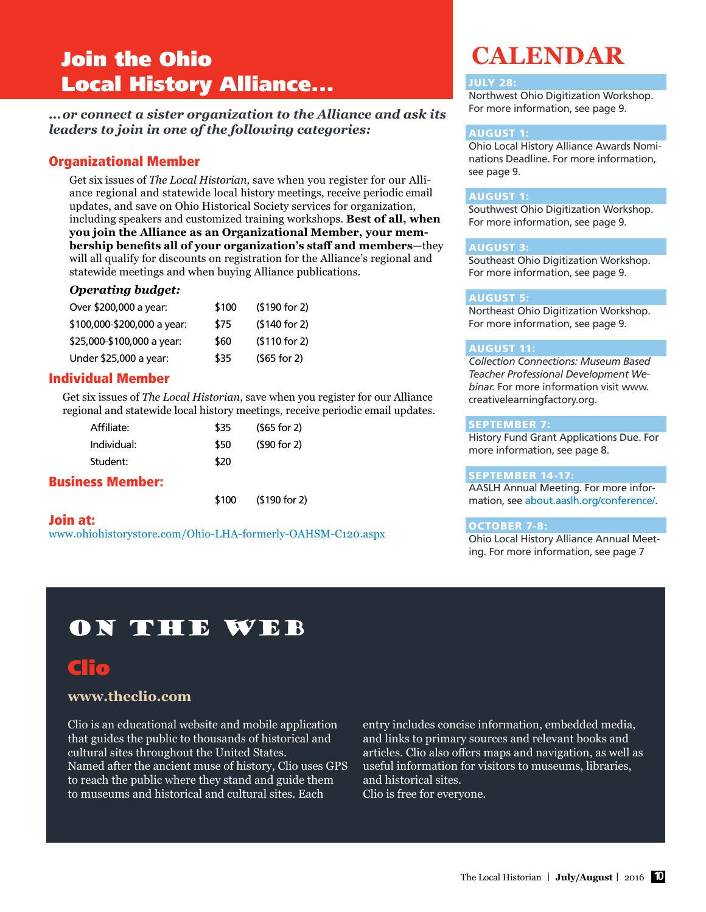# Join the Ohio Local History Alliance...

*...or connect a sister organization to the Alliance and ask its leaders to join in one of the following categories:*

# Organizational Member

Get six issues of *The Local Historian,* save when you register for our Alliance regional and statewide local history meetings, receive periodic email updates, and save on Ohio Historical Society services for organization, including speakers and customized training workshops. **Best of all, when you join the Alliance as an Organizational Member, your membership benefits all of your organization's staff and members**—they will all qualify for discounts on registration for the Alliance's regional and statewide meetings and when buying Alliance publications.

# *Operating budget:*

| Over \$200,000 a year:      | \$100 | ( \$190 for 2) |
|-----------------------------|-------|----------------|
| \$100,000-\$200,000 a year: | \$75  | (\$140 for 2)  |
| \$25,000-\$100,000 a year:  | \$60  | \$110 for 2)   |
| Under \$25,000 a year:      | \$35  | $(565$ for 2)  |

# Individual Member

Get six issues of *The Local Historian*, save when you register for our Alliance regional and statewide local history meetings, receive periodic email updates.

| Affiliate:  | \$35 | $(565$ for 2) |
|-------------|------|---------------|
| Individual: | \$50 | (\$90 for 2)  |
| Student:    | \$20 |               |
|             |      |               |

# Business Member:

\$100 (\$190 for 2)

## Join at:

[www.ohiohistorystore.com/Ohio-LHA-formerly-OAHSM-C120.aspx](http://www.ohiohistorystore.com/Ohio-LHA-formerly-OAHSM-C120.aspx)

# **CALENDAR**

### JULY 28:

Northwest Ohio Digitization Workshop. For more information, see page 9.

# AUGUST 1:

Ohio Local History Alliance Awards Nominations Deadline. For more information, see page 9.

### AUGUST 1:

Southwest Ohio Digitization Workshop. For more information, see page 9.

### AUGUST 3:

Southeast Ohio Digitization Workshop. For more information, see page 9.

# AUGUST 5:

Northeast Ohio Digitization Workshop. For more information, see page 9.

### AUGUST 11:

*Collection Connections: Museum Based Teacher Professional Development Webinar.* For more information visit [www.](http://www.creativelearningfactory.org) [creativelearningfactory.org.](http://www.creativelearningfactory.org)

# SEPTEMBER 7:

History Fund Grant Applications Due. For more information, see page 8.

# SEPTEMBER 14-17:

AASLH Annual Meeting. For more information, see [about.aaslh.org/conference/](http://about.aaslh.org/conference).

# OCTOBER 7-8:

Ohio Local History Alliance Annual Meeting. For more information, see page 7

# On the Web

# Clio

# **[www.theclio.com](http://www.theclio.com)**

Clio is an educational website and mobile application that guides the public to thousands of historical and cultural sites throughout the United States. Named after the ancient muse of history, Clio uses GPS to reach the public where they stand and guide them to museums and historical and cultural sites. Each

entry includes concise information, embedded media, and links to primary sources and relevant books and articles. Clio also offers maps and navigation, as well as useful information for visitors to museums, libraries, and historical sites. Clio is free for everyone.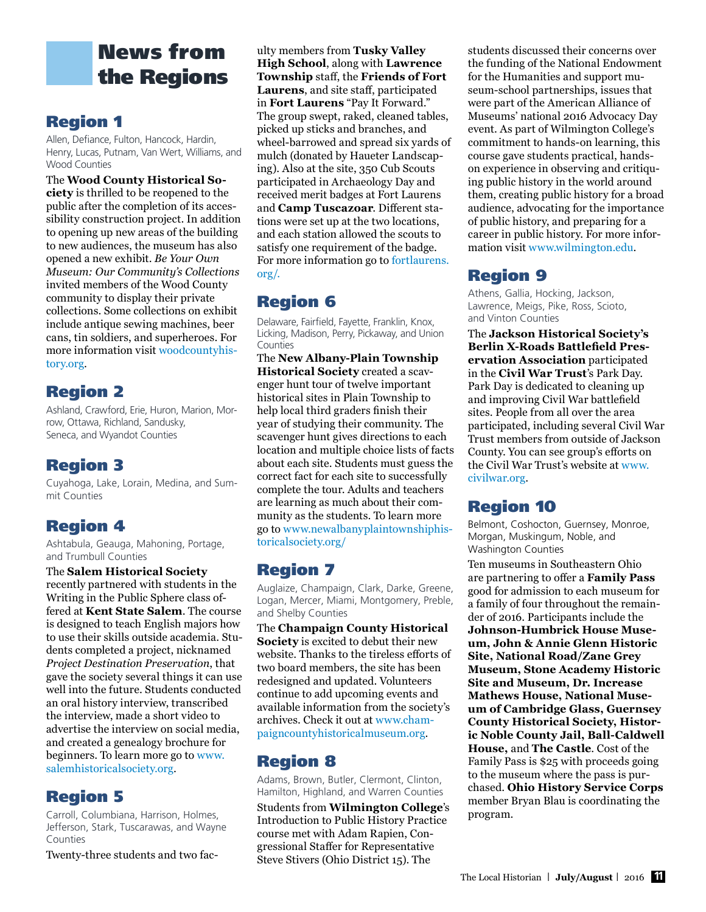# News from the Regions

# Region 1

Allen, Defiance, Fulton, Hancock, Hardin, Henry, Lucas, Putnam, Van Wert, Williams, and Wood Counties

The **Wood County Historical Society** is thrilled to be reopened to the public after the completion of its accessibility construction project. In addition to opening up new areas of the building to new audiences, the museum has also opened a new exhibit. *Be Your Own Museum: Our Community's Collections* invited members of the Wood County community to display their private collections. Some collections on exhibit include antique sewing machines, beer cans, tin soldiers, and superheroes. For more information visit [woodcountyhis](http://woodcountyhistory.org)[tory.org.](http://woodcountyhistory.org)

# Region 2

Ashland, Crawford, Erie, Huron, Marion, Morrow, Ottawa, Richland, Sandusky, Seneca, and Wyandot Counties

# Region 3

Cuyahoga, Lake, Lorain, Medina, and Summit Counties

# Region 4

Ashtabula, Geauga, Mahoning, Portage, and Trumbull Counties

The **Salem Historical Society** recently partnered with students in the Writing in the Public Sphere class offered at **Kent State Salem**. The course is designed to teach English majors how to use their skills outside academia. Students completed a project, nicknamed *Project Destination Preservation*, that gave the society several things it can use well into the future. Students conducted an oral history interview, transcribed the interview, made a short video to advertise the interview on social media, and created a genealogy brochure for beginners. To learn more go to [www.](http://www.salemhistoricalsociety.org) [salemhistoricalsociety.org](http://www.salemhistoricalsociety.org).

# Region 5

Carroll, Columbiana, Harrison, Holmes, Jefferson, Stark, Tuscarawas, and Wayne Counties

Twenty-three students and two fac-

ulty members from **Tusky Valley High School**, along with **Lawrence Township** staff, the **Friends of Fort Laurens**, and site staff, participated in **Fort Laurens** "Pay It Forward." The group swept, raked, cleaned tables, picked up sticks and branches, and wheel-barrowed and spread six yards of mulch (donated by Haueter Landscaping). Also at the site, 350 Cub Scouts participated in Archaeology Day and received merit badges at Fort Laurens and **Camp Tuscazoar**. Different stations were set up at the two locations, and each station allowed the scouts to satisfy one requirement of the badge. For more information go to [fortlaurens.]( http://fortlaurens.org/.  ) [org/.]( http://fortlaurens.org/.  ) 

# Region 6

Delaware, Fairfield, Fayette, Franklin, Knox, Licking, Madison, Perry, Pickaway, and Union **Counties** 

The **New Albany-Plain Township Historical Society** created a scavenger hunt tour of twelve important historical sites in Plain Township to help local third graders finish their year of studying their community. The scavenger hunt gives directions to each location and multiple choice lists of facts about each site. Students must guess the correct fact for each site to successfully complete the tour. Adults and teachers are learning as much about their community as the students. To learn more go to [www.newalbanyplaintownshiphis](http://www.newalbanyplaintownshiphistoricalsociety.org/)[toricalsociety.org/](http://www.newalbanyplaintownshiphistoricalsociety.org/)

# Region 7

Auglaize, Champaign, Clark, Darke, Greene, Logan, Mercer, Miami, Montgomery, Preble, and Shelby Counties

The **Champaign County Historical Society** is excited to debut their new website. Thanks to the tireless efforts of two board members, the site has been redesigned and updated. Volunteers continue to add upcoming events and available information from the society's archives. Check it out at [www.cham](http://www.champaigncountyhistoricalmuseum.org)[paigncountyhistoricalmuseum.org.](http://www.champaigncountyhistoricalmuseum.org)

# Region 8

Adams, Brown, Butler, Clermont, Clinton, Hamilton, Highland, and Warren Counties

Students from **Wilmington College**'s Introduction to Public History Practice course met with Adam Rapien, Congressional Staffer for Representative Steve Stivers (Ohio District 15). The

students discussed their concerns over the funding of the National Endowment for the Humanities and support museum-school partnerships, issues that were part of the American Alliance of Museums' national 2016 Advocacy Day event. As part of Wilmington College's commitment to hands-on learning, this course gave students practical, handson experience in observing and critiquing public history in the world around them, creating public history for a broad audience, advocating for the importance of public history, and preparing for a career in public history. For more information visit [www.wilmington.edu](http://www.wilmington.edu).

# Region 9

Athens, Gallia, Hocking, Jackson, Lawrence, Meigs, Pike, Ross, Scioto, and Vinton Counties

The **Jackson Historical Society's Berlin X-Roads Battlefield Preservation Association** participated in the **Civil War Trust**'s Park Day. Park Day is dedicated to cleaning up and improving Civil War battlefield sites. People from all over the area participated, including several Civil War Trust members from outside of Jackson County. You can see group's efforts on the Civil War Trust's website at [www.](http://www.civilwar.org) [civilwar.org.](http://www.civilwar.org)

# Region 10

Belmont, Coshocton, Guernsey, Monroe, Morgan, Muskingum, Noble, and Washington Counties

Ten museums in Southeastern Ohio are partnering to offer a **Family Pass** good for admission to each museum for a family of four throughout the remainder of 2016. Participants include the **Johnson-Humbrick House Museum, John & Annie Glenn Historic Site, National Road/Zane Grey Museum, Stone Academy Historic Site and Museum, Dr. Increase Mathews House, National Museum of Cambridge Glass, Guernsey County Historical Society, Historic Noble County Jail, Ball-Caldwell House,** and **The Castle**. Cost of the Family Pass is \$25 with proceeds going to the museum where the pass is purchased. **Ohio History Service Corps** member Bryan Blau is coordinating the program.